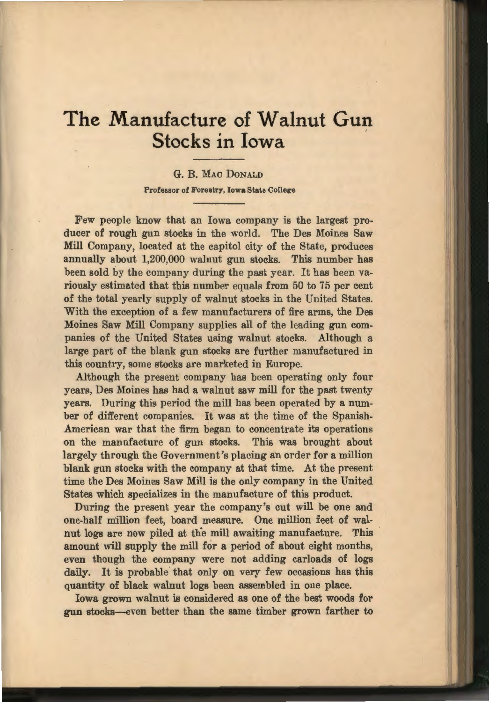# **The Manufacture of Walnut Gun Stocks in Iowa**

## G. B. MAc DoNALD Professor of Forestry, Iowa State College

Few people know that an Iowa company is the largest producer of rough gun stocks in the world. The Des Moines Saw Mill Company, located at the capitol city of the State, produces annually about 1,200,000 walnut gun stocks. This number has been sold by the company during the past year. It has been variously estimated that this number equals from 50 to 75 per cent of the total yearly supply of walnut stocks in the United States. With the exception of a few manufacturers of fire arms, the Des Moines Saw Mill Company supplies all of the leading gun companies of the United States using walnut stocks. Although a large part of the blank gun stocks are further manufactured in this country, some stocks are marketed in Europe.

Although the present company has been operating only four years, Des Moines has had a walnut saw mill for the past twenty years. During this period the mill has been operated by a number of different companies. It was at the time of the Spanish-American war that the firm began to concentrate its operations on the manufacture of gun stocks. This was brought about largely through the Government's placing an order for a million blank gun stocks with the company at that time. At the present time the Des Moines Saw Mill is the only company in the United States which specializes in the manufacture of this product.

During the present year the company's cut will be one and one-half million feet, board measure. One million feet of walnut logs are now piled at the mill awaiting manufacture. This amount will supply the mill for a period of about eight months, even though the company were not adding carloads of logs daily. It is probable that only on very few occasions has this quantity of black walnut logs been assembled in one place.

Iowa grown walnut is considered as one of the best woods for gun stocks-even better than the same timber grown farther to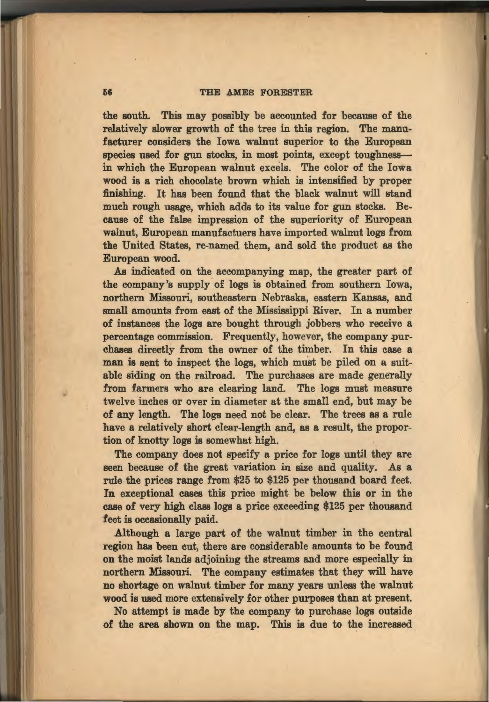#### 66 THE AMES FORESTER

the south. This may possibly be accounted for because of the relatively slower growth of the tree in this region. The manufacturer considers the Iowa walnut superior to the European species used for gun stocks, in most points, except toughnessin which the European walnut excels. The color of the Iowa wood is a rich chocolate brown which is intensified by proper finishing. It has been found that the black walnut will stand much rough usage, which adds to its value for gun stocks. Because of the false impression of the superiority of European walnut, European manufactuers have imported walnut logs from the United States, re-named them, and sold the product as the European wood.

As indicated on the accompanying map, the greater part of the company's supply· of logs is obtained from southern Iowa, northern Missouri, southeastern Nebraska, eastern Kansas, and small amounts from east of the Mississippi River. In a number of instances the logs are bought through jobbers who receive a percentage commission. Frequently, however, the company purchases directly from the owner of the timber. In this case a man is sent to inspect the logs, which must be piled on a suitable siding on the railroad. The purchases are made generally from farmers who are clearing land. The logs must measure twelve inches or over in diameter at the small end, but may be of any length. The logs need not be clear. The trees as a rule have a relatively short clear-length and, as a result, the proportion of knotty logs is somewhat high.

The company does not specify a price for logs until they are seen because of the great variation in size and quality. As a rule the prices range from \$25 to \$125 per thousand board feet. In exceptional cases this price might be below this or in the case of very high class logs a price exceeding \$125 per thousand feet is occasionally paid.

Although a large part of the walnut timber in the central region has been cut, there are considerable amounts to be found on the moist lands adjoining the streams and more especially in northern Missouri. The company estimates that they will have no shortage on walnut timber for many years unless the walnut wood is used more extensively for other purposes than at present.

No attempt is made by the company to purchase logs outside of the area shown on the map. This is due to the increased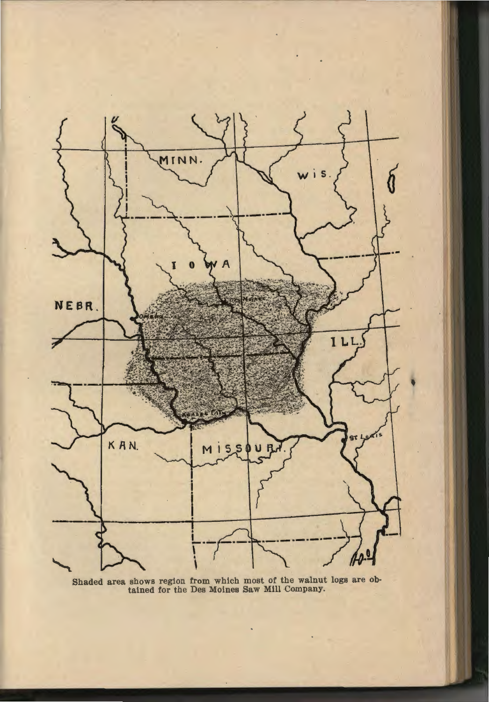

Shaded area shows region from which most of the walnut logs are obtained for the Des Moines Saw Mill Company.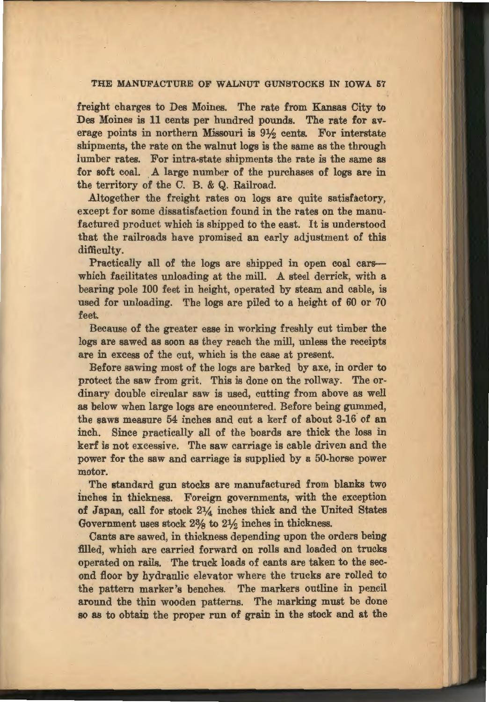## THE MANUFACTURE OF WALNUT GUNSTOCKS IN IOWA 57

freight charges to Des Moines. The rate from Kansas City to Des Moines is 11 cents per hundred pounds. The rate for average points in northern Missouri is  $9\frac{1}{2}$  cents. For interstate shipments, the rate on the walnut logs is the same as the through lumber rates. For intra-state shipments the rate is the same as for soft coal. A large number of the purchases of logs are in the territory of the C. B. & Q. Railroad.

Altogether the freight rates on logs are quite satisfactory, except for some dissatisfaction found in the rates on the manufactured product which is shipped to the east. It is understood that the railroads have promised an early adjustment of this difficulty.

Practically all of the logs are shipped in open coal carswhich facilitates unloading at the mill. A steel derrick, with a bearing pole 100 feet in height, operated by steam and cable, is used for unloading. The logs are piled to a height of 60 or 70 feet.

Because of the greater ease in working freshly cut timber the logs are sawed as soon as they reach the mill, unless the receipts are in excess of the cut, which is the case at present.

Before sawing most of the logs are barked by axe, in order to protect the saw from grit. This is done on the rollway. The ordinary double circular saw is used, cutting from above as well as below when large logs are encountered. Before being gummed, the saws measure 54 inches and cut a kerf of about 3-16 of an inch. Since practically all of the boards are thick the loss in kerf is not excessive. The saw carriage is cable driven and the power for the saw and carriage is supplied by a 50-horse power motor.

The standard gun stocks are manufactured from blanks two inches in thickness. Foreign governments, with the exception of Japan, call for stock  $2\frac{1}{4}$  inches thick and the United States Government uses stock 2<sup>3</sup>% to 2<sup>1</sup>% inches in thickness.

Cants are sawed, in thickness depending upon the orders being filled, which are carried forward on rolls and loaded on trucks operated on rails. The truck loads of cants are taken to the second floor by hydraulic elevator where the trucks are rolled to the pattern marker's benches. The markers outline in pencil around the thin wooden patterns. The marking must be done so as to obtain the proper run of grain in the stock and at the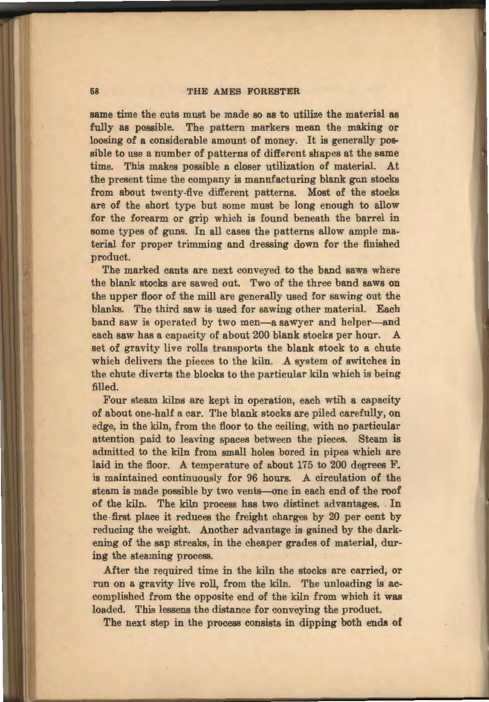#### 58 THE AMES FORESTER

same time the cuts must be made so as to utilize the material as fully as possible. The pattern markers mean the making or loosing of a considerable amount of money. It is generally possible to use a number of patterns of different shapes at the same time. This makes possible a closer utilization of material. At the present time the company is manufacturing blank gun stocks from about twenty-five different patterns. Most of the stocks are of the short type but some must be long enough to allow for the forearm or grip which is found beneath the barrel in some types of guns. In all cases the patterns allow ample material for proper trimming and dressing down for the finished product.

The marked cants are next conveyed to the band saws where the blank stocks are sawed out. Two of the three band saws on the upper floor of the mill are generally used for sawing out the blanks. The third saw is used for sawing other material. Each band saw is operated by two men-a sawyer and helper-and each saw has a capacity of about 200 blank stocks per hour. A set of gravity live rolls transports the blank stock to a chute which delivers the pieces to the kiln. A system of switches in the chute diverts the blocks to the particular kiln which is being filled.

Four steam kilns are kept in operation, each wtih a capacity of about one-half a car. The blank stocks are piled carefully, on edge, in the kiln, from the floor to the ceiling, with no particular attention paid to leaving spaces between the pieces. Steam is admitted to the kiln from small holes bored in pipes which are laid in the floor. A temperature of about 175 to 200 degrees F. is maintained continuously for 96 hours. A circulation of the steam is made possible by two vents--one in each end of the roof of the kiln. The kiln process has two distinct advantages . . In the first place it reduces the freight charges by 20 per cent by reducing the weight. Another advantage is gained by the darkening of the sap streaks, in the cheaper grades of material, during the steaming process.

After the required time in the kiln the stocks are carried, or run on a gravity live roll, from the kiln. The unloading is accomplished from the opposite end of the kiln from which it was loaded. This lessens the distance for conveying the product.

The next step in the process consists in dipping both ends of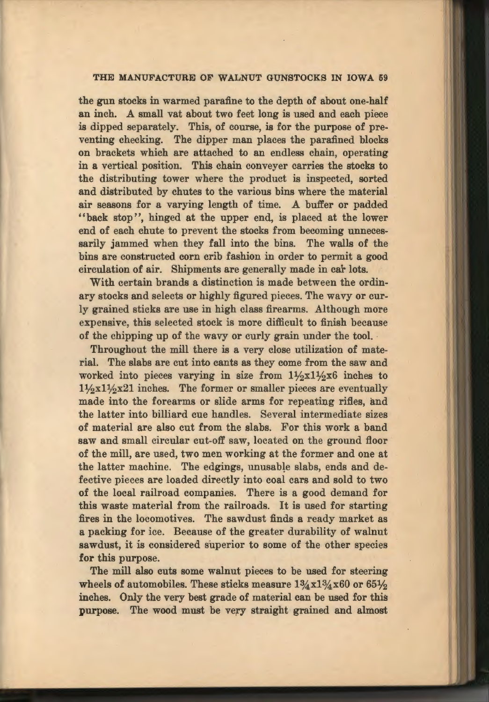## THE MANUFACTURE OF WALNUT GUNSTOCKS IN IOWA 59

the gun stocks in warmed parafine to the depth of about one-half an inch. A small vat about two feet long is used and each piece is dipped separately. This, of course, is for the purpose of preventing checking. The dipper man places the parafined blocks on brackets which are attached to an endless chain, operating in a vertical position. This chain conveyer carries the stocks to the distributing tower where the product is inspected, sorted and distributed by chutes to the various bins where the material air seasons for a varying length of time. A buffer or padded "back stop", hinged at the upper end, is placed at the lower end of each chute to prevent the stocks from becoming unnecessarily jammed when they fall into the bins. The walls of the bins are constructed corn crib fashion in order to permit a good circulation of air. Shipments are generally made in car lots.

With certain brands a distinction is made between the ordinary stocks and selects or highly figured pieces. The wavy or curly grained sticks are use in high class firearms. Although more expensive, this selected stock is more difficult to finish because of the chipping up of the wavy or curly grain under the tool.

Throughout the mill there is a very close utilization of material. The slabs are cut into cants as they come from the saw and worked into pieces varying in size from  $1\frac{1}{2}x1\frac{1}{2}x6$  inches to  $1\frac{1}{2}x1\frac{1}{2}x21$  inches. The former or smaller pieces are eventually made into the forearms or slide arms for repeating rifles, and the latter into billiard cue handles. Several intermediate sizes of material are also cut from the slabs. For this work a band saw and small circular cut-off saw, located on the ground floor of the mill, are used, two men working at the former and one at the latter machine. The edgings, unusable slabs, ends and defective pieces are loaded directly into coal cars and sold to two of the local railroad companies. There is a good demand for this waste material from the railroads. It is used for starting fires in the locomotives. The sawdust finds a ready market as a packing for ice. Because of the greater durability of walnut sawdust, it is considered superior to some of the other species for this purpose.

The mill also cuts some walnut pieces to be used for steering wheels of automobiles. These sticks measure  $1\frac{3}{4}x1\frac{3}{4}x60$  or  $65\frac{1}{2}$ inches. Only the very best grade of material can be used for this purpose. The wood must be very straight grained and almost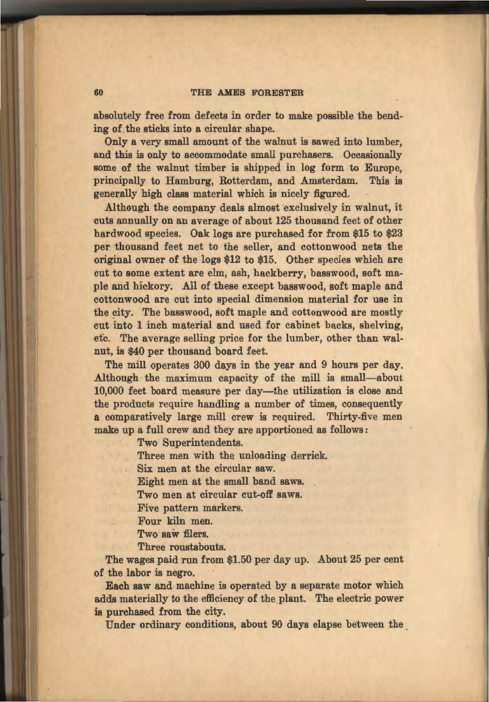### 60 THE AMES FORESTER

absolutely free from defects in order to make possible the bending of the sticks into a circular shape.

Only a very small amount of the walnut is sawed into lumber, and this is only to accommodate small purchasers. Occasionally some of the walnut timber is shipped in log form to Europe, principally to Hamburg, Rotterdam, and Amsterdam. This is generally high class material which is nicely figured.

Although the company deals almost exclusively in walnut, it cuts annually on an average of about 125 thousand feet of other hardwood species. Oak logs are purchased for from \$15 to \$23 per thousand feet net to the seller, and cottonwood nets the original owner of the logs \$12 to \$15. Other species which are cut to some extent are elm, ash, hackberry, basswood, soft maple and hickory. All of these except basswood, soft maple and cottonwood are cut into special dimension material for use in the city. The basswood, soft maple and cottonwood are mostly cut into 1 inch material and used for cabinet backs, shelving, etc. The average selling price for the lumber, other than walnut, is \$40 per thousand board feet.

The mill operates 300 days in the year and 9 hours per day. Although the maximum capacity of the mill is small-about 10,000 feet board measure per day-the utilization is close and the products require handling a number of times, consequently a comparatively large mill crew is required. Thirty-five men make up a full crew and they are apportioned as follows:

Two Superintendents.

Three men with the unloading derrick.

Six men at the circular saw.

Eight men at the small band saws.

Two men at circular cut-off saws.

Five pattern markers.

Four kiln men.

Two saw filers.

Three roustabouts.

The wages paid run from \$1.50 per day up. About 25 per cent of the labor is negro.

Each saw and machine is operated by a separate motor which adds materially to the efficiency of the plant. The electric power is purchased from the city.

Under ordinary conditions, about 90 days elapse between the .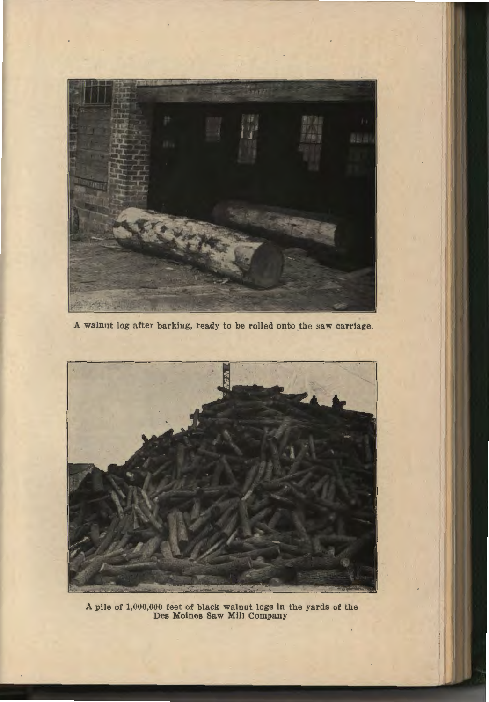

A walnut log after barking, ready to be rolled onto the saw carriage.



A pile of 1,000,000 feet of black walnut Jogs in the yards of the Des Moines Saw Mill Company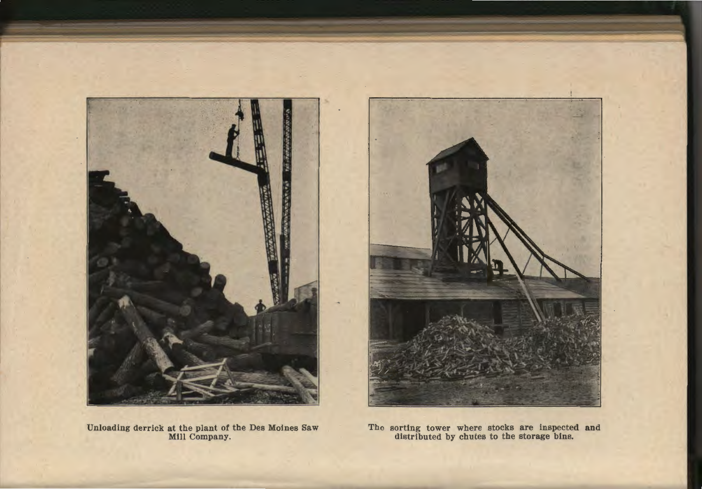

Unloading derrick at the plant of the Des Moines Saw Mill Company.



The sorting tower where stocks are inspected and distributed by chutes to the storage bins.